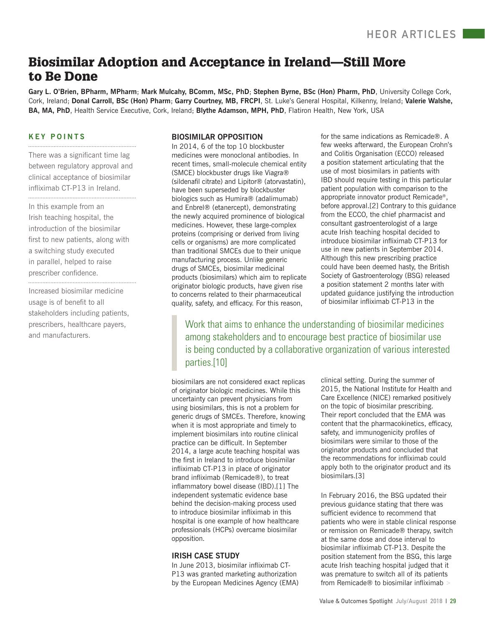# **Biosimilar Adoption and Acceptance in Ireland—Still More to Be Done**

**Gary L. O'Brien, BPharm, MPharm**; **Mark Mulcahy, BComm, MSc, PhD**; **Stephen Byrne, BSc (Hon) Pharm, PhD**, University College Cork, Cork, Ireland; **Donal Carroll, BSc (Hon) Pharm**; **Garry Courtney, MB, FRCPI**, St. Luke's General Hospital, Kilkenny, Ireland; **Valerie Walshe, BA, MA, PhD**, Health Service Executive, Cork, Ireland; **Blythe Adamson, MPH, PhD**, Flatiron Health, New York, USA

## **KEY POINTS**

There was a significant time lag between regulatory approval and clinical acceptance of biosimilar infliximab CT-P13 in Ireland.

In this example from an Irish teaching hospital, the introduction of the biosimilar first to new patients, along with a switching study executed in parallel, helped to raise prescriber confidence.

Increased biosimilar medicine usage is of benefit to all stakeholders including patients, prescribers, healthcare payers, and manufacturers.

## **BIOSIMILAR OPPOSITION**

In 2014, 6 of the top 10 blockbuster medicines were monoclonal antibodies. In recent times, small-molecule chemical entity (SMCE) blockbuster drugs like Viagra® (sildenafil citrate) and Lipitor® (atorvastatin), have been superseded by blockbuster biologics such as Humira® (adalimumab) and Enbrel® (etanercept), demonstrating the newly acquired prominence of biological medicines. However, these large-complex proteins (comprising or derived from living cells or organisms) are more complicated than traditional SMCEs due to their unique manufacturing process. Unlike generic drugs of SMCEs, biosimilar medicinal products (biosimilars) which aim to replicate originator biologic products, have given rise to concerns related to their pharmaceutical quality, safety, and efficacy. For this reason,

for the same indications as Remicade®. A few weeks afterward, the European Crohn's and Colitis Organisation (ECCO) released a position statement articulating that the use of most biosimilars in patients with IBD should require testing in this particular patient population with comparison to the appropriate innovator product Remicade®, before approval.[2] Contrary to this guidance from the ECCO, the chief pharmacist and consultant gastroenterologist of a large acute Irish teaching hospital decided to introduce biosimilar infliximab CT-P13 for use in new patients in September 2014. Although this new prescribing practice could have been deemed hasty, the British Society of Gastroenterology (BSG) released a position statement 2 months later with updated guidance justifying the introduction of biosimilar infliximab CT-P13 in the

Work that aims to enhance the understanding of biosimilar medicines among stakeholders and to encourage best practice of biosimilar use is being conducted by a collaborative organization of various interested parties.[10]

biosimilars are not considered exact replicas of originator biologic medicines. While this uncertainty can prevent physicians from using biosimilars, this is not a problem for generic drugs of SMCEs. Therefore, knowing when it is most appropriate and timely to implement biosimilars into routine clinical practice can be difficult. In September 2014, a large acute teaching hospital was the first in Ireland to introduce biosimilar infliximab CT-P13 in place of originator brand infliximab (Remicade®), to treat inflammatory bowel disease (IBD).[1] The independent systematic evidence base behind the decision-making process used to introduce biosimilar infliximab in this hospital is one example of how healthcare professionals (HCPs) overcame biosimilar opposition.

### **IRISH CASE STUDY**

In June 2013, biosimilar infliximab CT-P13 was granted marketing authorization by the European Medicines Agency (EMA) clinical setting. During the summer of 2015, the National Institute for Health and Care Excellence (NICE) remarked positively on the topic of biosimilar prescribing. Their report concluded that the EMA was content that the pharmacokinetics, efficacy, safety, and immunogenicity profiles of biosimilars were similar to those of the originator products and concluded that the recommendations for infliximab could apply both to the originator product and its biosimilars.[3]

In February 2016, the BSG updated their previous guidance stating that there was sufficient evidence to recommend that patients who were in stable clinical response or remission on Remicade® therapy, switch at the same dose and dose interval to biosimilar infliximab CT-P13. Despite the position statement from the BSG, this large acute Irish teaching hospital judged that it was premature to switch all of its patients from Remicade® to biosimilar infliximab **>**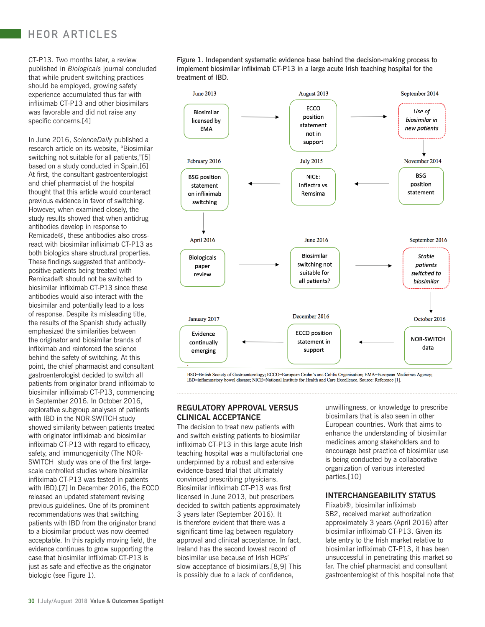# **HEOR ARTICLES**

CT-P13. Two months later, a review published in *Biologicals* journal concluded that while prudent switching practices should be employed, growing safety experience accumulated thus far with infliximab CT-P13 and other biosimilars was favorable and did not raise any specific concerns.[4]

In June 2016, *ScienceDaily* published a research article on its website, "Biosimilar switching not suitable for all patients,"[5] based on a study conducted in Spain.[6] At first, the consultant gastroenterologist and chief pharmacist of the hospital thought that this article would counteract previous evidence in favor of switching. However, when examined closely, the study results showed that when antidrug antibodies develop in response to Remicade®, these antibodies also crossreact with biosimilar infliximab CT-P13 as both biologics share structural properties. These findings suggested that antibodypositive patients being treated with Remicade® should not be switched to biosimilar infliximab CT-P13 since these antibodies would also interact with the biosimilar and potentially lead to a loss of response. Despite its misleading title, the results of the Spanish study actually emphasized the similarities between the originator and biosimilar brands of infliximab and reinforced the science behind the safety of switching. At this point, the chief pharmacist and consultant gastroenterologist decided to switch all patients from originator brand infliximab to biosimilar infliximab CT-P13, commencing in September 2016. In October 2016, explorative subgroup analyses of patients with IBD in the NOR-SWITCH study showed similarity between patients treated with originator infliximab and biosimilar infliximab CT-P13 with regard to efficacy, safety, and immunogenicity (The NOR-SWITCH study was one of the first largescale controlled studies where biosimilar infliximab CT-P13 was tested in patients with IBD).[7] In December 2016, the ECCO released an updated statement revising previous guidelines. One of its prominent recommendations was that switching patients with IBD from the originator brand to a biosimilar product was now deemed acceptable. In this rapidly moving field, the evidence continues to grow supporting the case that biosimilar infliximab CT-P13 is just as safe and effective as the originator biologic (see Figure 1).

Figure 1. Independent systematic evidence base behind the decision-making process to implement biosimilar infliximab CT-P13 in a large acute Irish teaching hospital for the treatment of IBD.



BSG=British Society of Gastroenterology; ECCO=European Crohn's and Colitis Organisation; EMA=European Medicines Agency;<br>IBD=inflammatory bowel disease; NICE=National Institute for Health and Care Excellence. Source: Refere

# **REGULATORY APPROVAL VERSUS CLINICAL ACCEPTANCE**

The decision to treat new patients with and switch existing patients to biosimilar infliximab CT-P13 in this large acute Irish teaching hospital was a multifactorial one underpinned by a robust and extensive evidence-based trial that ultimately convinced prescribing physicians. Biosimilar infliximab CT-P13 was first licensed in June 2013, but prescribers decided to switch patients approximately 3 years later (September 2016). It is therefore evident that there was a significant time lag between regulatory approval and clinical acceptance. In fact, Ireland has the second lowest record of biosimilar use because of Irish HCPs' slow acceptance of biosimilars.[8,9] This is possibly due to a lack of confidence,

unwillingness, or knowledge to prescribe biosimilars that is also seen in other European countries. Work that aims to enhance the understanding of biosimilar medicines among stakeholders and to encourage best practice of biosimilar use is being conducted by a collaborative organization of various interested parties.[10]

## **INTERCHANGEABILITY STATUS**

Flixabi®, biosimilar infliximab SB2, received market authorization approximately 3 years (April 2016) after biosimilar infliximab CT-P13. Given its late entry to the Irish market relative to biosimilar infliximab CT-P13, it has been unsuccessful in penetrating this market so far. The chief pharmacist and consultant gastroenterologist of this hospital note that